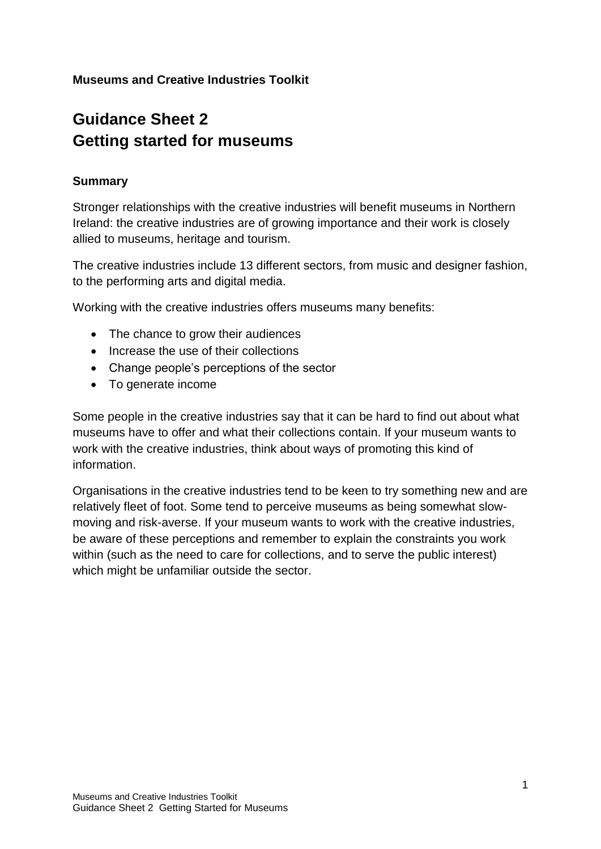# **Guidance Sheet 2 Getting started for museums**

#### **Summary**

Stronger relationships with the creative industries will benefit museums in Northern Ireland: the creative industries are of growing importance and their work is closely allied to museums, heritage and tourism.

The creative industries include 13 different sectors, from music and designer fashion, to the performing arts and digital media.

Working with the creative industries offers museums many benefits:

- The chance to grow their audiences
- Increase the use of their collections
- Change people's perceptions of the sector
- To generate income

Some people in the creative industries say that it can be hard to find out about what museums have to offer and what their collections contain. If your museum wants to work with the creative industries, think about ways of promoting this kind of information.

Organisations in the creative industries tend to be keen to try something new and are relatively fleet of foot. Some tend to perceive museums as being somewhat slowmoving and risk-averse. If your museum wants to work with the creative industries, be aware of these perceptions and remember to explain the constraints you work within (such as the need to care for collections, and to serve the public interest) which might be unfamiliar outside the sector.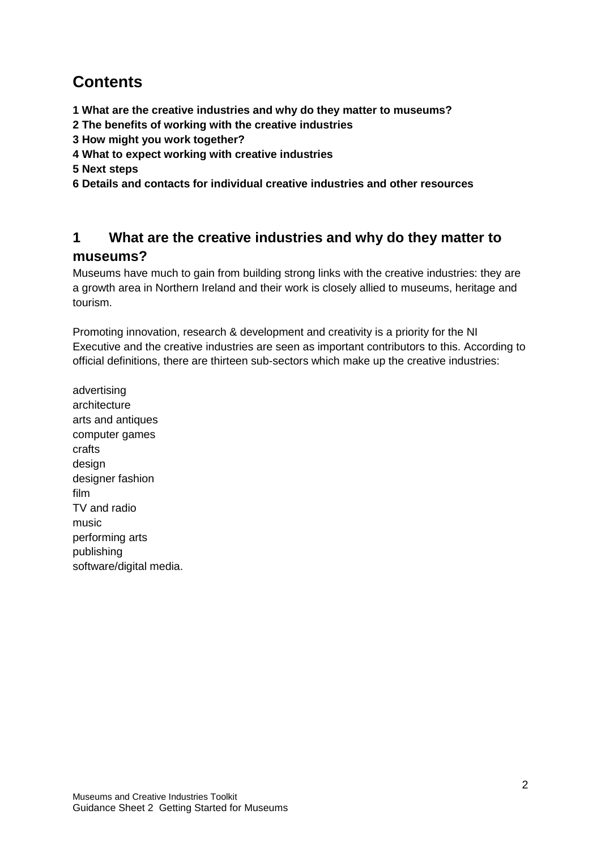## **Contents**

- **1 What are the creative industries and why do they matter to museums?**
- **2 The benefits of working with the creative industries**
- **3 How might you work together?**
- **4 What to expect working with creative industries**
- **5 Next steps**
- **6 Details and contacts for individual creative industries and other resources**

### **1 What are the creative industries and why do they matter to museums?**

Museums have much to gain from building strong links with the creative industries: they are a growth area in Northern Ireland and their work is closely allied to museums, heritage and tourism.

Promoting innovation, research & development and creativity is a priority for the NI Executive and the creative industries are seen as important contributors to this. According to official definitions, there are thirteen sub-sectors which make up the creative industries:

advertising architecture arts and antiques computer games crafts design designer fashion film TV and radio music performing arts publishing software/digital media.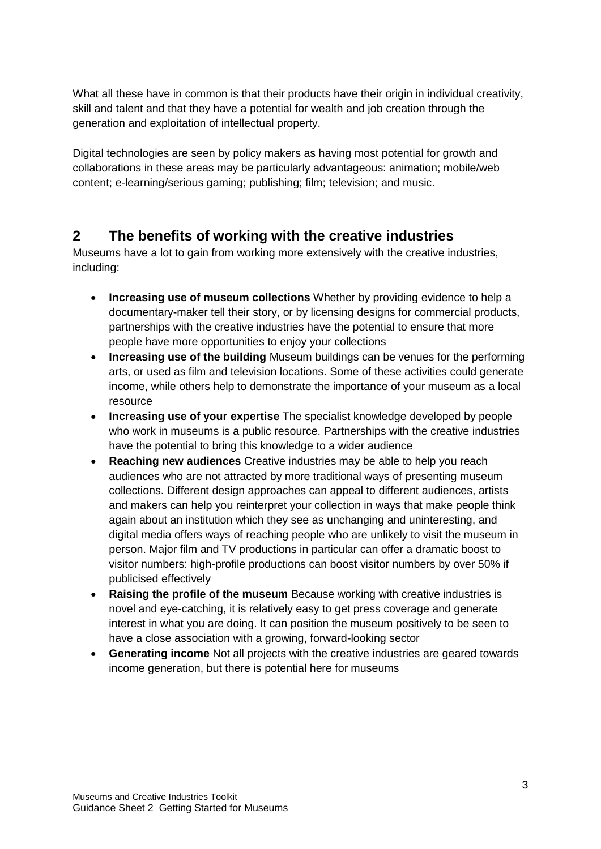What all these have in common is that their products have their origin in individual creativity, skill and talent and that they have a potential for wealth and job creation through the generation and exploitation of intellectual property.

Digital technologies are seen by policy makers as having most potential for growth and collaborations in these areas may be particularly advantageous: animation; mobile/web content; e-learning/serious gaming; publishing; film; television; and music.

### **2 The benefits of working with the creative industries**

Museums have a lot to gain from working more extensively with the creative industries, including:

- **Increasing use of museum collections** Whether by providing evidence to help a documentary-maker tell their story, or by licensing designs for commercial products, partnerships with the creative industries have the potential to ensure that more people have more opportunities to enjoy your collections
- **Increasing use of the building** Museum buildings can be venues for the performing arts, or used as film and television locations. Some of these activities could generate income, while others help to demonstrate the importance of your museum as a local resource
- **Increasing use of your expertise** The specialist knowledge developed by people who work in museums is a public resource. Partnerships with the creative industries have the potential to bring this knowledge to a wider audience
- **Reaching new audiences** Creative industries may be able to help you reach audiences who are not attracted by more traditional ways of presenting museum collections. Different design approaches can appeal to different audiences, artists and makers can help you reinterpret your collection in ways that make people think again about an institution which they see as unchanging and uninteresting, and digital media offers ways of reaching people who are unlikely to visit the museum in person. Major film and TV productions in particular can offer a dramatic boost to visitor numbers: high-profile productions can boost visitor numbers by over 50% if publicised effectively
- **Raising the profile of the museum** Because working with creative industries is novel and eye-catching, it is relatively easy to get press coverage and generate interest in what you are doing. It can position the museum positively to be seen to have a close association with a growing, forward-looking sector
- **Generating income** Not all projects with the creative industries are geared towards income generation, but there is potential here for museums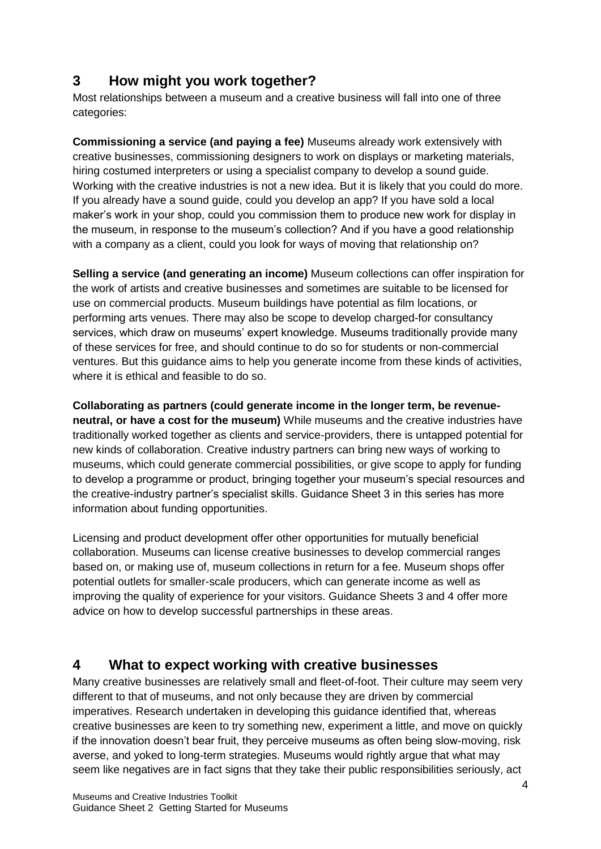### **3 How might you work together?**

Most relationships between a museum and a creative business will fall into one of three categories:

**Commissioning a service (and paying a fee)** Museums already work extensively with creative businesses, commissioning designers to work on displays or marketing materials, hiring costumed interpreters or using a specialist company to develop a sound guide. Working with the creative industries is not a new idea. But it is likely that you could do more. If you already have a sound guide, could you develop an app? If you have sold a local maker's work in your shop, could you commission them to produce new work for display in the museum, in response to the museum's collection? And if you have a good relationship with a company as a client, could you look for ways of moving that relationship on?

**Selling a service (and generating an income)** Museum collections can offer inspiration for the work of artists and creative businesses and sometimes are suitable to be licensed for use on commercial products. Museum buildings have potential as film locations, or performing arts venues. There may also be scope to develop charged-for consultancy services, which draw on museums' expert knowledge. Museums traditionally provide many of these services for free, and should continue to do so for students or non-commercial ventures. But this guidance aims to help you generate income from these kinds of activities, where it is ethical and feasible to do so.

**Collaborating as partners (could generate income in the longer term, be revenueneutral, or have a cost for the museum)** While museums and the creative industries have traditionally worked together as clients and service-providers, there is untapped potential for new kinds of collaboration. Creative industry partners can bring new ways of working to museums, which could generate commercial possibilities, or give scope to apply for funding to develop a programme or product, bringing together your museum's special resources and the creative-industry partner's specialist skills. Guidance Sheet 3 in this series has more information about funding opportunities.

Licensing and product development offer other opportunities for mutually beneficial collaboration. Museums can license creative businesses to develop commercial ranges based on, or making use of, museum collections in return for a fee. Museum shops offer potential outlets for smaller-scale producers, which can generate income as well as improving the quality of experience for your visitors. Guidance Sheets 3 and 4 offer more advice on how to develop successful partnerships in these areas.

### **4 What to expect working with creative businesses**

Many creative businesses are relatively small and fleet-of-foot. Their culture may seem very different to that of museums, and not only because they are driven by commercial imperatives. Research undertaken in developing this guidance identified that, whereas creative businesses are keen to try something new, experiment a little, and move on quickly if the innovation doesn't bear fruit, they perceive museums as often being slow-moving, risk averse, and yoked to long-term strategies. Museums would rightly argue that what may seem like negatives are in fact signs that they take their public responsibilities seriously, act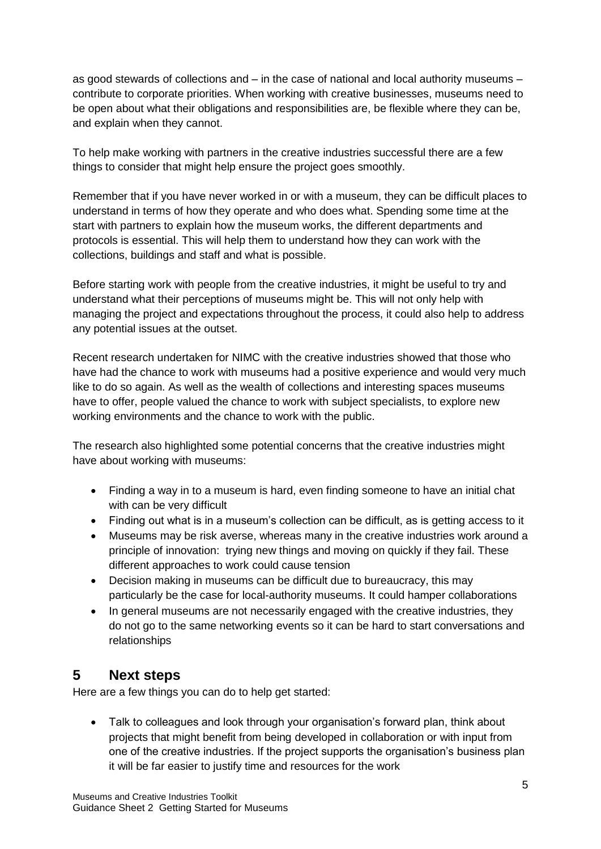as good stewards of collections and – in the case of national and local authority museums – contribute to corporate priorities. When working with creative businesses, museums need to be open about what their obligations and responsibilities are, be flexible where they can be, and explain when they cannot.

To help make working with partners in the creative industries successful there are a few things to consider that might help ensure the project goes smoothly.

Remember that if you have never worked in or with a museum, they can be difficult places to understand in terms of how they operate and who does what. Spending some time at the start with partners to explain how the museum works, the different departments and protocols is essential. This will help them to understand how they can work with the collections, buildings and staff and what is possible.

Before starting work with people from the creative industries, it might be useful to try and understand what their perceptions of museums might be. This will not only help with managing the project and expectations throughout the process, it could also help to address any potential issues at the outset.

Recent research undertaken for NIMC with the creative industries showed that those who have had the chance to work with museums had a positive experience and would very much like to do so again. As well as the wealth of collections and interesting spaces museums have to offer, people valued the chance to work with subject specialists, to explore new working environments and the chance to work with the public.

The research also highlighted some potential concerns that the creative industries might have about working with museums:

- Finding a way in to a museum is hard, even finding someone to have an initial chat with can be very difficult
- Finding out what is in a museum's collection can be difficult, as is getting access to it
- Museums may be risk averse, whereas many in the creative industries work around a principle of innovation: trying new things and moving on quickly if they fail. These different approaches to work could cause tension
- Decision making in museums can be difficult due to bureaucracy, this may particularly be the case for local-authority museums. It could hamper collaborations
- In general museums are not necessarily engaged with the creative industries, they do not go to the same networking events so it can be hard to start conversations and relationships

### **5 Next steps**

Here are a few things you can do to help get started:

 Talk to colleagues and look through your organisation's forward plan, think about projects that might benefit from being developed in collaboration or with input from one of the creative industries. If the project supports the organisation's business plan it will be far easier to justify time and resources for the work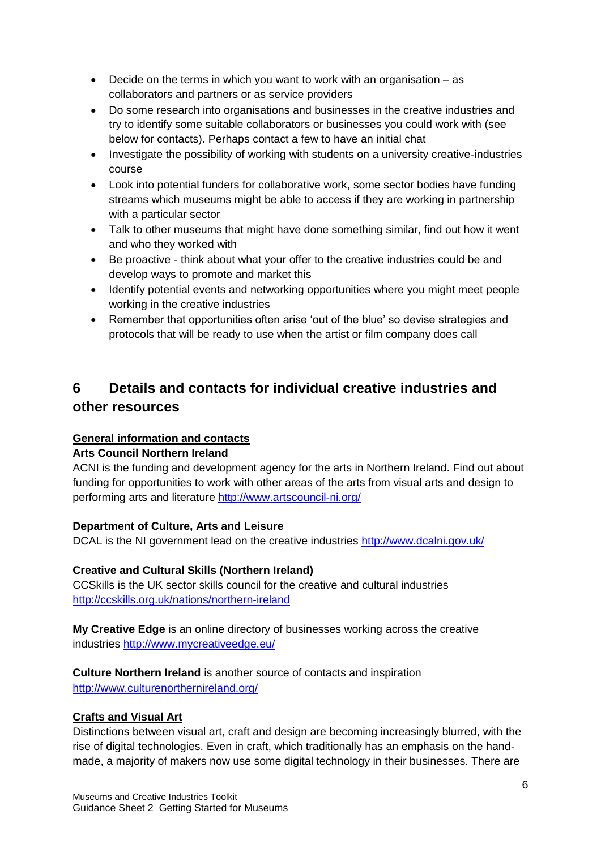- Decide on the terms in which you want to work with an organisation as collaborators and partners or as service providers
- Do some research into organisations and businesses in the creative industries and try to identify some suitable collaborators or businesses you could work with (see below for contacts). Perhaps contact a few to have an initial chat
- Investigate the possibility of working with students on a university creative-industries course
- Look into potential funders for collaborative work, some sector bodies have funding streams which museums might be able to access if they are working in partnership with a particular sector
- Talk to other museums that might have done something similar, find out how it went and who they worked with
- Be proactive think about what your offer to the creative industries could be and develop ways to promote and market this
- Identify potential events and networking opportunities where you might meet people working in the creative industries
- Remember that opportunities often arise 'out of the blue' so devise strategies and protocols that will be ready to use when the artist or film company does call

## **6 Details and contacts for individual creative industries and other resources**

#### **General information and contacts**

#### **Arts Council Northern Ireland**

ACNI is the funding and development agency for the arts in Northern Ireland. Find out about funding for opportunities to work with other areas of the arts from visual arts and design to performing arts and literature <http://www.artscouncil-ni.org/>

#### **Department of Culture, Arts and Leisure**

DCAL is the NI government lead on the creative industries <http://www.dcalni.gov.uk/>

#### **Creative and Cultural Skills (Northern Ireland)**

CCSkills is the UK sector skills council for the creative and cultural industries <http://ccskills.org.uk/nations/northern-ireland>

**My Creative Edge** is an online directory of businesses working across the creative industries<http://www.mycreativeedge.eu/>

**Culture Northern Ireland** is another source of contacts and inspiration <http://www.culturenorthernireland.org/>

#### **Crafts and Visual Art**

Distinctions between visual art, craft and design are becoming increasingly blurred, with the rise of digital technologies. Even in craft, which traditionally has an emphasis on the handmade, a majority of makers now use some digital technology in their businesses. There are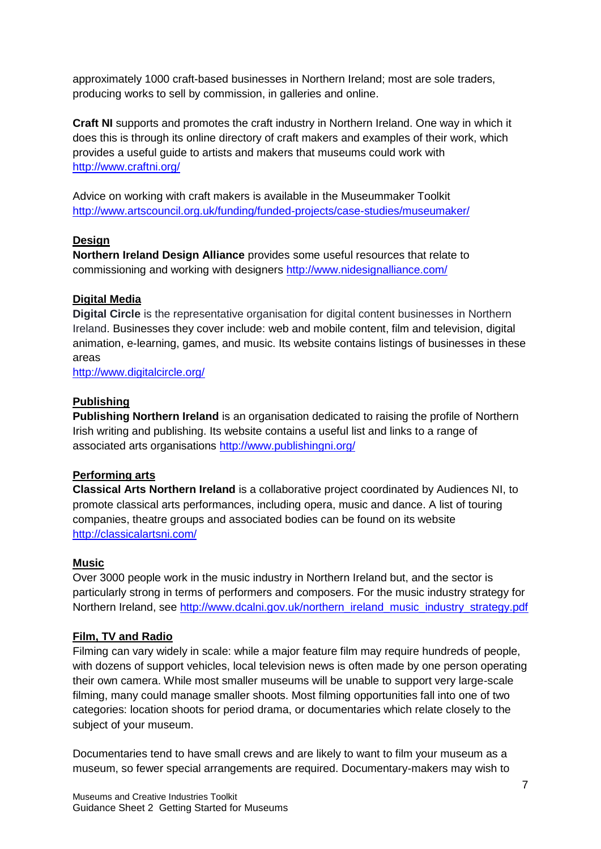approximately 1000 craft-based businesses in Northern Ireland; most are sole traders, producing works to sell by commission, in galleries and online.

**Craft NI** supports and promotes the craft industry in Northern Ireland. One way in which it does this is through its online directory of craft makers and examples of their work, which provides a useful guide to artists and makers that museums could work with <http://www.craftni.org/>

Advice on working with craft makers is available in the Museummaker Toolkit <http://www.artscouncil.org.uk/funding/funded-projects/case-studies/museumaker/>

#### **Design**

**Northern Ireland Design Alliance** provides some useful resources that relate to commissioning and working with designers<http://www.nidesignalliance.com/>

#### **Digital Media**

**Digital Circle** is the representative organisation for digital content businesses in Northern Ireland. Businesses they cover include: web and mobile content, film and television, digital animation, e-learning, games, and music. Its website contains listings of businesses in these areas

<http://www.digitalcircle.org/>

#### **Publishing**

**Publishing Northern Ireland** is an organisation dedicated to raising the profile of Northern Irish writing and publishing. Its website contains a useful list and links to a range of associated arts organisations <http://www.publishingni.org/>

#### **Performing arts**

**Classical Arts Northern Ireland** is a collaborative project coordinated by Audiences NI, to promote classical arts performances, including opera, music and dance. A list of touring companies, theatre groups and associated bodies can be found on its website <http://classicalartsni.com/>

#### **Music**

Over 3000 people work in the music industry in Northern Ireland but, and the sector is particularly strong in terms of performers and composers. For the music industry strategy for Northern Ireland, see [http://www.dcalni.gov.uk/northern\\_ireland\\_music\\_industry\\_strategy.pdf](http://www.dcalni.gov.uk/northern_ireland_music_industry_strategy.pdf)

#### **Film, TV and Radio**

Filming can vary widely in scale: while a major feature film may require hundreds of people, with dozens of support vehicles, local television news is often made by one person operating their own camera. While most smaller museums will be unable to support very large-scale filming, many could manage smaller shoots. Most filming opportunities fall into one of two categories: location shoots for period drama, or documentaries which relate closely to the subject of your museum.

Documentaries tend to have small crews and are likely to want to film your museum as a museum, so fewer special arrangements are required. Documentary-makers may wish to